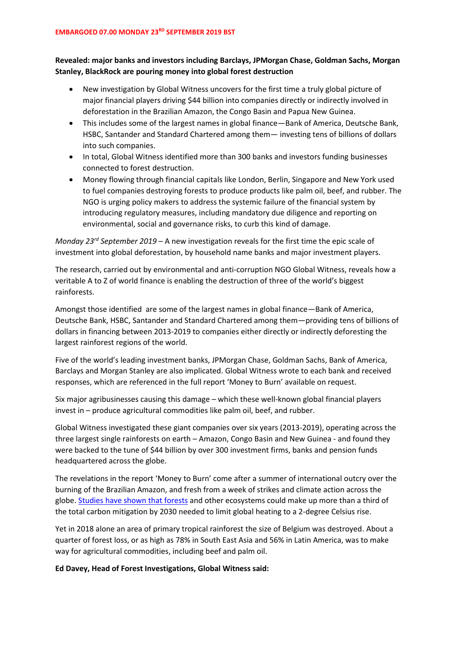## **Revealed: major banks and investors including Barclays, JPMorgan Chase, Goldman Sachs, Morgan Stanley, BlackRock are pouring money into global forest destruction**

- New investigation by Global Witness uncovers for the first time a truly global picture of major financial players driving \$44 billion into companies directly or indirectly involved in deforestation in the Brazilian Amazon, the Congo Basin and Papua New Guinea.
- This includes some of the largest names in global finance—Bank of America, Deutsche Bank, HSBC, Santander and Standard Chartered among them— investing tens of billions of dollars into such companies.
- In total, Global Witness identified more than 300 banks and investors funding businesses connected to forest destruction.
- Money flowing through financial capitals like London, Berlin, Singapore and New York used to fuel companies destroying forests to produce products like palm oil, beef, and rubber. The NGO is urging policy makers to address the systemic failure of the financial system by introducing regulatory measures, including mandatory due diligence and reporting on environmental, social and governance risks, to curb this kind of damage.

*Monday 23rd September 2019* – A new investigation reveals for the first time the epic scale of investment into global deforestation, by household name banks and major investment players.

The research, carried out by environmental and anti-corruption NGO Global Witness, reveals how a veritable A to Z of world finance is enabling the destruction of three of the world's biggest rainforests.

Amongst those identified are some of the largest names in global finance—Bank of America, Deutsche Bank, HSBC, Santander and Standard Chartered among them—providing tens of billions of dollars in financing between 2013-2019 to companies either directly or indirectly deforesting the largest rainforest regions of the world.

Five of the world's leading investment banks, JPMorgan Chase, Goldman Sachs, Bank of America, Barclays and Morgan Stanley are also implicated. Global Witness wrote to each bank and received responses, which are referenced in the full report 'Money to Burn' available on request.

Six major agribusinesses causing this damage – which these well-known global financial players invest in – produce agricultural commodities like palm oil, beef, and rubber.

Global Witness investigated these giant companies over six years (2013-2019), operating across the three largest single rainforests on earth – Amazon, Congo Basin and New Guinea - and found they were backed to the tune of \$44 billion by over 300 investment firms, banks and pension funds headquartered across the globe.

The revelations in the report 'Money to Burn' come after a summer of international outcry over the burning of the Brazilian Amazon, and fresh from a week of strikes and climate action across the globe. [Studies have shown that forests](https://www.nature.com/articles/d41586-019-00122-z) and other ecosystems could make up more than a third of the total carbon mitigation by 2030 needed to limit global heating to a 2-degree Celsius rise.

Yet in 2018 alone an area of primary tropical rainforest the size of Belgium was destroyed. About a quarter of forest loss, or as high as 78% in South East Asia and 56% in Latin America, was to make way for agricultural commodities, including beef and palm oil.

**Ed Davey, Head of Forest Investigations, Global Witness said:**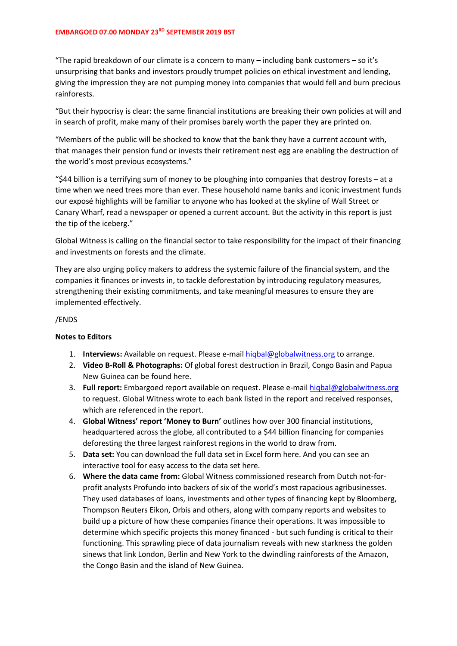## **EMBARGOED 07.00 MONDAY 23RD SEPTEMBER 2019 BST**

"The rapid breakdown of our climate is a concern to many – including bank customers – so it's unsurprising that banks and investors proudly trumpet policies on ethical investment and lending, giving the impression they are not pumping money into companies that would fell and burn precious rainforests.

"But their hypocrisy is clear: the same financial institutions are breaking their own policies at will and in search of profit, make many of their promises barely worth the paper they are printed on.

"Members of the public will be shocked to know that the bank they have a current account with, that manages their pension fund or invests their retirement nest egg are enabling the destruction of the world's most previous ecosystems."

"\$44 billion is a terrifying sum of money to be ploughing into companies that destroy forests – at a time when we need trees more than ever. These household name banks and iconic investment funds our exposé highlights will be familiar to anyone who has looked at the skyline of Wall Street or Canary Wharf, read a newspaper or opened a current account. But the activity in this report is just the tip of the iceberg."

Global Witness is calling on the financial sector to take responsibility for the impact of their financing and investments on forests and the climate.

They are also urging policy makers to address the systemic failure of the financial system, and the companies it finances or invests in, to tackle deforestation by introducing regulatory measures, strengthening their existing commitments, and take meaningful measures to ensure they are implemented effectively.

## /ENDS

## **Notes to Editors**

- 1. **Interviews:** Available on request. Please e-mail [hiqbal@globalwitness.org](mailto:hiqbal@globalwitness.org) to arrange.
- 2. **Video B-Roll & Photographs:** Of global forest destruction in Brazil, Congo Basin and Papua New Guinea can be found here.
- 3. **Full report:** Embargoed report available on request. Please e-mai[l hiqbal@globalwitness.org](mailto:hiqbal@globalwitness.org) to request. Global Witness wrote to each bank listed in the report and received responses, which are referenced in the report.
- 4. **Global Witness' report 'Money to Burn'** outlines how over 300 financial institutions, headquartered across the globe, all contributed to a \$44 billion financing for companies deforesting the three largest rainforest regions in the world to draw from.
- 5. **Data set:** You can download the full data set in Excel form here. And you can see an interactive tool for easy access to the data set here.
- 6. **Where the data came from:** Global Witness commissioned research from Dutch not-forprofit analysts Profundo into backers of six of the world's most rapacious agribusinesses. They used databases of loans, investments and other types of financing kept by Bloomberg, Thompson Reuters Eikon, Orbis and others, along with company reports and websites to build up a picture of how these companies finance their operations. It was impossible to determine which specific projects this money financed - but such funding is critical to their functioning. This sprawling piece of data journalism reveals with new starkness the golden sinews that link London, Berlin and New York to the dwindling rainforests of the Amazon, the Congo Basin and the island of New Guinea.